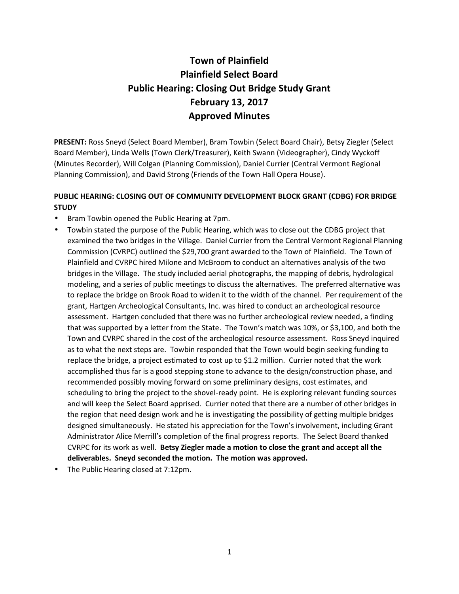# **Town of Plainfield Plainfield Select Board Public Hearing: Closing Out Bridge Study Grant February 13, 2017 Approved Minutes**

**PRESENT:** Ross Sneyd (Select Board Member), Bram Towbin (Select Board Chair), Betsy Ziegler (Select Board Member), Linda Wells (Town Clerk/Treasurer), Keith Swann (Videographer), Cindy Wyckoff (Minutes Recorder), Will Colgan (Planning Commission), Daniel Currier (Central Vermont Regional Planning Commission), and David Strong (Friends of the Town Hall Opera House).

# **PUBLIC HEARING: CLOSING OUT OF COMMUNITY DEVELOPMENT BLOCK GRANT (CDBG) FOR BRIDGE STUDY**

- Bram Towbin opened the Public Hearing at 7pm.
- Towbin stated the purpose of the Public Hearing, which was to close out the CDBG project that examined the two bridges in the Village. Daniel Currier from the Central Vermont Regional Planning Commission (CVRPC) outlined the \$29,700 grant awarded to the Town of Plainfield. The Town of Plainfield and CVRPC hired Milone and McBroom to conduct an alternatives analysis of the two bridges in the Village. The study included aerial photographs, the mapping of debris, hydrological modeling, and a series of public meetings to discuss the alternatives. The preferred alternative was to replace the bridge on Brook Road to widen it to the width of the channel. Per requirement of the grant, Hartgen Archeological Consultants, Inc. was hired to conduct an archeological resource assessment. Hartgen concluded that there was no further archeological review needed, a finding that was supported by a letter from the State. The Town's match was 10%, or \$3,100, and both the Town and CVRPC shared in the cost of the archeological resource assessment. Ross Sneyd inquired as to what the next steps are. Towbin responded that the Town would begin seeking funding to replace the bridge, a project estimated to cost up to \$1.2 million. Currier noted that the work accomplished thus far is a good stepping stone to advance to the design/construction phase, and recommended possibly moving forward on some preliminary designs, cost estimates, and scheduling to bring the project to the shovel-ready point. He is exploring relevant funding sources and will keep the Select Board apprised. Currier noted that there are a number of other bridges in the region that need design work and he is investigating the possibility of getting multiple bridges designed simultaneously. He stated his appreciation for the Town's involvement, including Grant Administrator Alice Merrill's completion of the final progress reports. The Select Board thanked CVRPC for its work as well. **Betsy Ziegler made a motion to close the grant and accept all the deliverables. Sneyd seconded the motion. The motion was approved.**
- The Public Hearing closed at 7:12pm.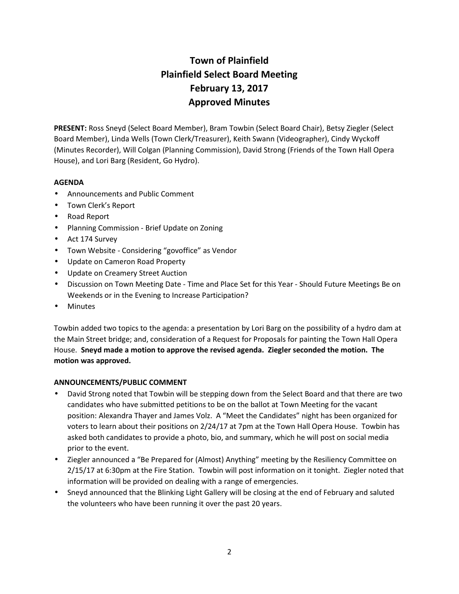# **Town of Plainfield Plainfield Select Board Meeting February 13, 2017 Approved Minutes**

**PRESENT:** Ross Sneyd (Select Board Member), Bram Towbin (Select Board Chair), Betsy Ziegler (Select Board Member), Linda Wells (Town Clerk/Treasurer), Keith Swann (Videographer), Cindy Wyckoff (Minutes Recorder), Will Colgan (Planning Commission), David Strong (Friends of the Town Hall Opera House), and Lori Barg (Resident, Go Hydro).

# **AGENDA**

- Announcements and Public Comment
- Town Clerk's Report
- Road Report
- Planning Commission Brief Update on Zoning
- Act 174 Survey
- Town Website Considering "govoffice" as Vendor
- Update on Cameron Road Property
- Update on Creamery Street Auction
- Discussion on Town Meeting Date Time and Place Set for this Year Should Future Meetings Be on Weekends or in the Evening to Increase Participation?
- Minutes

Towbin added two topics to the agenda: a presentation by Lori Barg on the possibility of a hydro dam at the Main Street bridge; and, consideration of a Request for Proposals for painting the Town Hall Opera House. **Sneyd made a motion to approve the revised agenda. Ziegler seconded the motion. The motion was approved.**

# **ANNOUNCEMENTS/PUBLIC COMMENT**

- David Strong noted that Towbin will be stepping down from the Select Board and that there are two candidates who have submitted petitions to be on the ballot at Town Meeting for the vacant position: Alexandra Thayer and James Volz. A "Meet the Candidates" night has been organized for voters to learn about their positions on 2/24/17 at 7pm at the Town Hall Opera House. Towbin has asked both candidates to provide a photo, bio, and summary, which he will post on social media prior to the event.
- Ziegler announced a "Be Prepared for (Almost) Anything" meeting by the Resiliency Committee on 2/15/17 at 6:30pm at the Fire Station. Towbin will post information on it tonight. Ziegler noted that information will be provided on dealing with a range of emergencies.
- Sneyd announced that the Blinking Light Gallery will be closing at the end of February and saluted the volunteers who have been running it over the past 20 years.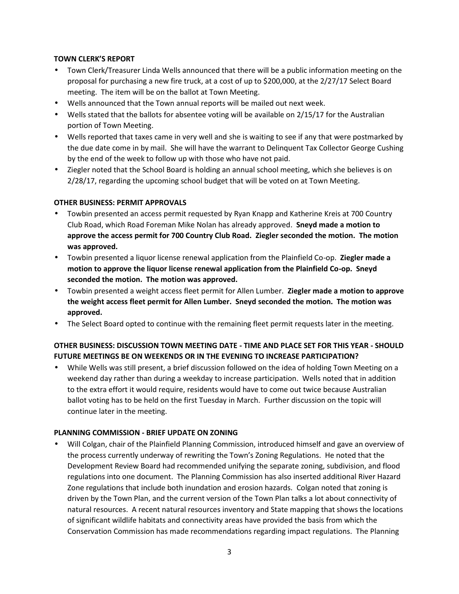# **TOWN CLERK'S REPORT**

- Town Clerk/Treasurer Linda Wells announced that there will be a public information meeting on the proposal for purchasing a new fire truck, at a cost of up to \$200,000, at the 2/27/17 Select Board meeting. The item will be on the ballot at Town Meeting.
- Wells announced that the Town annual reports will be mailed out next week.
- Wells stated that the ballots for absentee voting will be available on 2/15/17 for the Australian portion of Town Meeting.
- Wells reported that taxes came in very well and she is waiting to see if any that were postmarked by the due date come in by mail. She will have the warrant to Delinquent Tax Collector George Cushing by the end of the week to follow up with those who have not paid.
- Ziegler noted that the School Board is holding an annual school meeting, which she believes is on 2/28/17, regarding the upcoming school budget that will be voted on at Town Meeting.

# **OTHER BUSINESS: PERMIT APPROVALS**

- Towbin presented an access permit requested by Ryan Knapp and Katherine Kreis at 700 Country Club Road, which Road Foreman Mike Nolan has already approved. **Sneyd made a motion to approve the access permit for 700 Country Club Road. Ziegler seconded the motion. The motion was approved.**
- Towbin presented a liquor license renewal application from the Plainfield Co-op. **Ziegler made a motion to approve the liquor license renewal application from the Plainfield Co-op. Sneyd seconded the motion. The motion was approved.**
- Towbin presented a weight access fleet permit for Allen Lumber. **Ziegler made a motion to approve the weight access fleet permit for Allen Lumber. Sneyd seconded the motion. The motion was approved.**
- The Select Board opted to continue with the remaining fleet permit requests later in the meeting.

# **OTHER BUSINESS: DISCUSSION TOWN MEETING DATE - TIME AND PLACE SET FOR THIS YEAR - SHOULD FUTURE MEETINGS BE ON WEEKENDS OR IN THE EVENING TO INCREASE PARTICIPATION?**

 While Wells was still present, a brief discussion followed on the idea of holding Town Meeting on a weekend day rather than during a weekday to increase participation. Wells noted that in addition to the extra effort it would require, residents would have to come out twice because Australian ballot voting has to be held on the first Tuesday in March. Further discussion on the topic will continue later in the meeting.

## **PLANNING COMMISSION - BRIEF UPDATE ON ZONING**

 Will Colgan, chair of the Plainfield Planning Commission, introduced himself and gave an overview of the process currently underway of rewriting the Town's Zoning Regulations. He noted that the Development Review Board had recommended unifying the separate zoning, subdivision, and flood regulations into one document. The Planning Commission has also inserted additional River Hazard Zone regulations that include both inundation and erosion hazards. Colgan noted that zoning is driven by the Town Plan, and the current version of the Town Plan talks a lot about connectivity of natural resources. A recent natural resources inventory and State mapping that shows the locations of significant wildlife habitats and connectivity areas have provided the basis from which the Conservation Commission has made recommendations regarding impact regulations. The Planning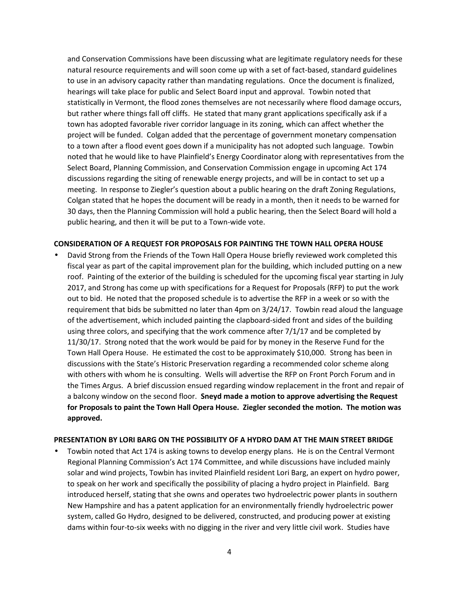and Conservation Commissions have been discussing what are legitimate regulatory needs for these natural resource requirements and will soon come up with a set of fact-based, standard guidelines to use in an advisory capacity rather than mandating regulations. Once the document is finalized, hearings will take place for public and Select Board input and approval. Towbin noted that statistically in Vermont, the flood zones themselves are not necessarily where flood damage occurs, but rather where things fall off cliffs. He stated that many grant applications specifically ask if a town has adopted favorable river corridor language in its zoning, which can affect whether the project will be funded. Colgan added that the percentage of government monetary compensation to a town after a flood event goes down if a municipality has not adopted such language. Towbin noted that he would like to have Plainfield's Energy Coordinator along with representatives from the Select Board, Planning Commission, and Conservation Commission engage in upcoming Act 174 discussions regarding the siting of renewable energy projects, and will be in contact to set up a meeting. In response to Ziegler's question about a public hearing on the draft Zoning Regulations, Colgan stated that he hopes the document will be ready in a month, then it needs to be warned for 30 days, then the Planning Commission will hold a public hearing, then the Select Board will hold a public hearing, and then it will be put to a Town-wide vote.

#### **CONSIDERATION OF A REQUEST FOR PROPOSALS FOR PAINTING THE TOWN HALL OPERA HOUSE**

 David Strong from the Friends of the Town Hall Opera House briefly reviewed work completed this fiscal year as part of the capital improvement plan for the building, which included putting on a new roof. Painting of the exterior of the building is scheduled for the upcoming fiscal year starting in July 2017, and Strong has come up with specifications for a Request for Proposals (RFP) to put the work out to bid. He noted that the proposed schedule is to advertise the RFP in a week or so with the requirement that bids be submitted no later than 4pm on 3/24/17. Towbin read aloud the language of the advertisement, which included painting the clapboard-sided front and sides of the building using three colors, and specifying that the work commence after 7/1/17 and be completed by 11/30/17. Strong noted that the work would be paid for by money in the Reserve Fund for the Town Hall Opera House. He estimated the cost to be approximately \$10,000. Strong has been in discussions with the State's Historic Preservation regarding a recommended color scheme along with others with whom he is consulting. Wells will advertise the RFP on Front Porch Forum and in the Times Argus. A brief discussion ensued regarding window replacement in the front and repair of a balcony window on the second floor. **Sneyd made a motion to approve advertising the Request for Proposals to paint the Town Hall Opera House. Ziegler seconded the motion. The motion was approved.**

#### **PRESENTATION BY LORI BARG ON THE POSSIBILITY OF A HYDRO DAM AT THE MAIN STREET BRIDGE**

 Towbin noted that Act 174 is asking towns to develop energy plans. He is on the Central Vermont Regional Planning Commission's Act 174 Committee, and while discussions have included mainly solar and wind projects, Towbin has invited Plainfield resident Lori Barg, an expert on hydro power, to speak on her work and specifically the possibility of placing a hydro project in Plainfield. Barg introduced herself, stating that she owns and operates two hydroelectric power plants in southern New Hampshire and has a patent application for an environmentally friendly hydroelectric power system, called Go Hydro, designed to be delivered, constructed, and producing power at existing dams within four-to-six weeks with no digging in the river and very little civil work. Studies have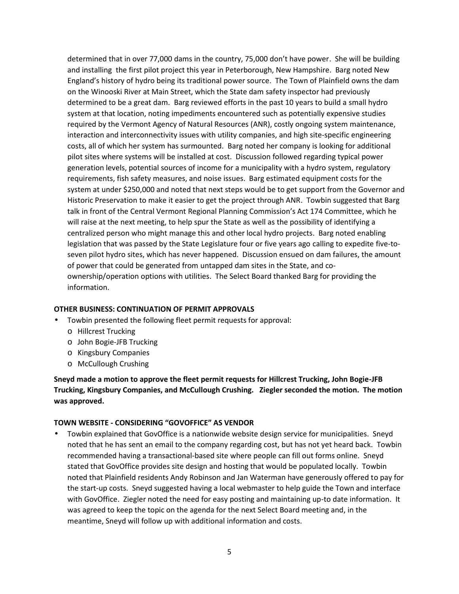determined that in over 77,000 dams in the country, 75,000 don't have power. She will be building and installing the first pilot project this year in Peterborough, New Hampshire. Barg noted New England's history of hydro being its traditional power source. The Town of Plainfield owns the dam on the Winooski River at Main Street, which the State dam safety inspector had previously determined to be a great dam. Barg reviewed efforts in the past 10 years to build a small hydro system at that location, noting impediments encountered such as potentially expensive studies required by the Vermont Agency of Natural Resources (ANR), costly ongoing system maintenance, interaction and interconnectivity issues with utility companies, and high site-specific engineering costs, all of which her system has surmounted. Barg noted her company is looking for additional pilot sites where systems will be installed at cost. Discussion followed regarding typical power generation levels, potential sources of income for a municipality with a hydro system, regulatory requirements, fish safety measures, and noise issues. Barg estimated equipment costs for the system at under \$250,000 and noted that next steps would be to get support from the Governor and Historic Preservation to make it easier to get the project through ANR. Towbin suggested that Barg talk in front of the Central Vermont Regional Planning Commission's Act 174 Committee, which he will raise at the next meeting, to help spur the State as well as the possibility of identifying a centralized person who might manage this and other local hydro projects. Barg noted enabling legislation that was passed by the State Legislature four or five years ago calling to expedite five-to seven pilot hydro sites, which has never happened. Discussion ensued on dam failures, the amount of power that could be generated from untapped dam sites in the State, and co ownership/operation options with utilities. The Select Board thanked Barg for providing the information.

## **OTHER BUSINESS: CONTINUATION OF PERMIT APPROVALS**

- Towbin presented the following fleet permit requests for approval:
	- o Hillcrest Trucking
	- o John Bogie-JFB Trucking
	- o Kingsbury Companies
	- o McCullough Crushing

**Sneyd made a motion to approve the fleet permit requests for Hillcrest Trucking, John Bogie-JFB Trucking, Kingsbury Companies, and McCullough Crushing. Ziegler seconded the motion. The motion was approved.**

## **TOWN WEBSITE - CONSIDERING "GOVOFFICE" AS VENDOR**

 Towbin explained that GovOffice is a nationwide website design service for municipalities. Sneyd noted that he has sent an email to the company regarding cost, but has not yet heard back. Towbin recommended having a transactional-based site where people can fill out forms online. Sneyd stated that GovOffice provides site design and hosting that would be populated locally. Towbin noted that Plainfield residents Andy Robinson and Jan Waterman have generously offered to pay for the start-up costs. Sneyd suggested having a local webmaster to help guide the Town and interface with GovOffice. Ziegler noted the need for easy posting and maintaining up-to date information. It was agreed to keep the topic on the agenda for the next Select Board meeting and, in the meantime, Sneyd will follow up with additional information and costs.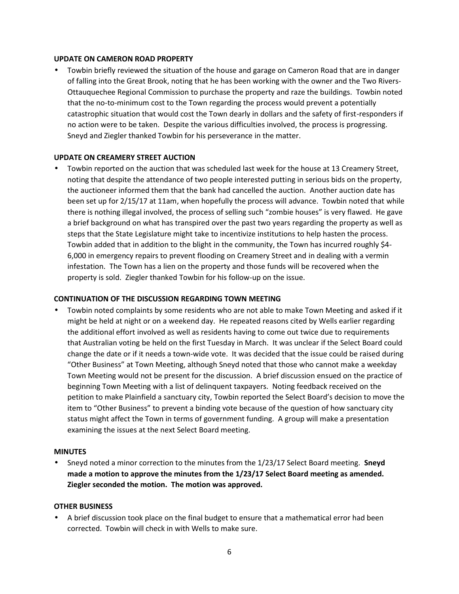### **UPDATE ON CAMERON ROAD PROPERTY**

 Towbin briefly reviewed the situation of the house and garage on Cameron Road that are in danger of falling into the Great Brook, noting that he has been working with the owner and the Two Rivers- Ottauquechee Regional Commission to purchase the property and raze the buildings. Towbin noted that the no-to-minimum cost to the Town regarding the process would prevent a potentially catastrophic situation that would cost the Town dearly in dollars and the safety of first-responders if no action were to be taken. Despite the various difficulties involved, the process is progressing. Sneyd and Ziegler thanked Towbin for his perseverance in the matter.

## **UPDATE ON CREAMERY STREET AUCTION**

 Towbin reported on the auction that was scheduled last week for the house at 13 Creamery Street, noting that despite the attendance of two people interested putting in serious bids on the property, the auctioneer informed them that the bank had cancelled the auction. Another auction date has been set up for 2/15/17 at 11am, when hopefully the process will advance. Towbin noted that while there is nothing illegal involved, the process of selling such "zombie houses" is very flawed. He gave a brief background on what has transpired over the past two years regarding the property as well as steps that the State Legislature might take to incentivize institutions to help hasten the process. Towbin added that in addition to the blight in the community, the Town has incurred roughly \$4- 6,000 in emergency repairs to prevent flooding on Creamery Street and in dealing with a vermin infestation. The Town has a lien on the property and those funds will be recovered when the property is sold. Ziegler thanked Towbin for his follow-up on the issue.

## **CONTINUATION OF THE DISCUSSION REGARDING TOWN MEETING**

 Towbin noted complaints by some residents who are not able to make Town Meeting and asked if it might be held at night or on a weekend day. He repeated reasons cited by Wells earlier regarding the additional effort involved as well as residents having to come out twice due to requirements that Australian voting be held on the first Tuesday in March. It was unclear if the Select Board could change the date or if it needs a town-wide vote. It was decided that the issue could be raised during "Other Business" at Town Meeting, although Sneyd noted that those who cannot make a weekday Town Meeting would not be present for the discussion. A brief discussion ensued on the practice of beginning Town Meeting with a list of delinquent taxpayers. Noting feedback received on the petition to make Plainfield a sanctuary city, Towbin reported the Select Board's decision to move the item to "Other Business" to prevent a binding vote because of the question of how sanctuary city status might affect the Town in terms of government funding. A group will make a presentation examining the issues at the next Select Board meeting.

#### **MINUTES**

 Sneyd noted a minor correction to the minutes from the 1/23/17 Select Board meeting. **Sneyd made a motion to approve the minutes from the 1/23/17 Select Board meeting as amended. Ziegler seconded the motion. The motion was approved.**

#### **OTHER BUSINESS**

 A brief discussion took place on the final budget to ensure that a mathematical error had been corrected. Towbin will check in with Wells to make sure.